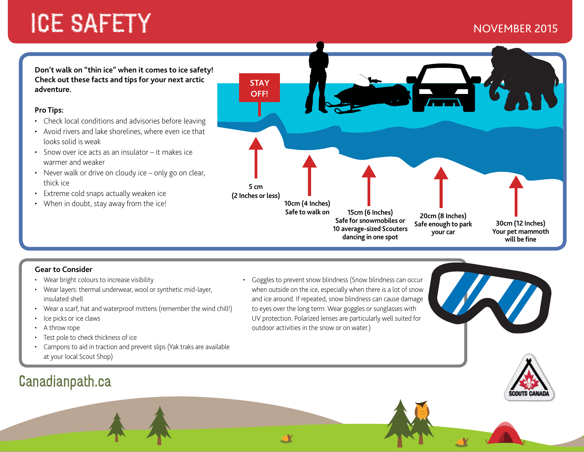# ICE SAFETY NEWSFILM AND RESEARCH THE STATE OF STATE STATES OF STATES AND A STATE OF STATES OF STATES AND ALL T

**Don't walk on "thin ice" when it comes to ice safety! Check out these facts and tips for your next arctic adventure.** 

### **Pro Tips:**

- Check local conditions and advisories before leaving
- Avoid rivers and lake shorelines, where even ice that looks solid is weak
- Snow over ice acts as an insulator it makes ice warmer and weaker
- Never walk or drive on cloudy ice only go on clear, thick ice
- Extreme cold snaps actually weaken ice
- When in doubt, stay away from the ice!



### **Gear to Consider**

- Wear bright colours to increase visibility
- Wear layers: thermal underwear, wool or synthetic mid-layer, insulated shell
- Wear a scarf, hat and waterproof mittens (remember the wind chill!)
- Ice picks or ice claws
- A throw rope
- Test pole to check thickness of ice
- Campons to aid in traction and prevent slips (Yak traks are available at your local Scout Shop)

## Canadianpath.ca

• Goggles to prevent snow blindness (Snow blindness can occur when outside on the ice, especially when there is a lot of snow and ice around. If repeated, snow blindness can cause damage to eyes over the long term. Wear goggles or sunglasses with UV protection. Polarized lenses are particularly well suited for outdoor activities in the snow or on water.)